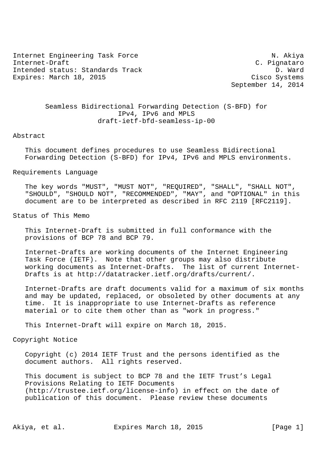Internet Engineering Task Force N. Akiya Internet-Draft C. Pignataro Intended status: Standards Track D. Ward Expires: March 18, 2015 Cisco Systems

September 14, 2014

# Seamless Bidirectional Forwarding Detection (S-BFD) for IPv4, IPv6 and MPLS draft-ietf-bfd-seamless-ip-00

### Abstract

 This document defines procedures to use Seamless Bidirectional Forwarding Detection (S-BFD) for IPv4, IPv6 and MPLS environments.

#### Requirements Language

 The key words "MUST", "MUST NOT", "REQUIRED", "SHALL", "SHALL NOT", "SHOULD", "SHOULD NOT", "RECOMMENDED", "MAY", and "OPTIONAL" in this document are to be interpreted as described in RFC 2119 [RFC2119].

## Status of This Memo

 This Internet-Draft is submitted in full conformance with the provisions of BCP 78 and BCP 79.

 Internet-Drafts are working documents of the Internet Engineering Task Force (IETF). Note that other groups may also distribute working documents as Internet-Drafts. The list of current Internet- Drafts is at http://datatracker.ietf.org/drafts/current/.

 Internet-Drafts are draft documents valid for a maximum of six months and may be updated, replaced, or obsoleted by other documents at any time. It is inappropriate to use Internet-Drafts as reference material or to cite them other than as "work in progress."

This Internet-Draft will expire on March 18, 2015.

# Copyright Notice

 Copyright (c) 2014 IETF Trust and the persons identified as the document authors. All rights reserved.

 This document is subject to BCP 78 and the IETF Trust's Legal Provisions Relating to IETF Documents (http://trustee.ietf.org/license-info) in effect on the date of publication of this document. Please review these documents

Akiya, et al. Expires March 18, 2015 [Page 1]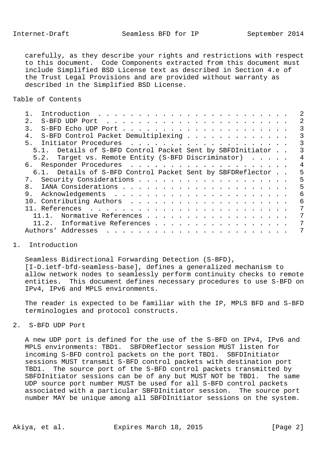carefully, as they describe your rights and restrictions with respect to this document. Code Components extracted from this document must include Simplified BSD License text as described in Section 4.e of the Trust Legal Provisions and are provided without warranty as described in the Simplified BSD License.

## Table of Contents

| 2.1            |          |                                                            |                      |  |                                                                                                                                                                                                                                                                                                             |  |  |  |  |  |  |  |  |   |
|----------------|----------|------------------------------------------------------------|----------------------|--|-------------------------------------------------------------------------------------------------------------------------------------------------------------------------------------------------------------------------------------------------------------------------------------------------------------|--|--|--|--|--|--|--|--|---|
| $\mathcal{R}$  |          |                                                            |                      |  |                                                                                                                                                                                                                                                                                                             |  |  |  |  |  |  |  |  | 3 |
| 4.             |          | S-BFD Control Packet Demultiplexing                        |                      |  |                                                                                                                                                                                                                                                                                                             |  |  |  |  |  |  |  |  |   |
|                |          |                                                            |                      |  |                                                                                                                                                                                                                                                                                                             |  |  |  |  |  |  |  |  |   |
|                |          | 5.1. Details of S-BFD Control Packet Sent by SBFDInitiator |                      |  |                                                                                                                                                                                                                                                                                                             |  |  |  |  |  |  |  |  |   |
|                |          | 5.2. Target vs. Remote Entity (S-BFD Discriminator)        |                      |  |                                                                                                                                                                                                                                                                                                             |  |  |  |  |  |  |  |  |   |
|                |          |                                                            |                      |  |                                                                                                                                                                                                                                                                                                             |  |  |  |  |  |  |  |  | 4 |
|                |          | 6.1. Details of S-BFD Control Packet Sent by SBFDReflector |                      |  |                                                                                                                                                                                                                                                                                                             |  |  |  |  |  |  |  |  | 5 |
|                |          |                                                            |                      |  |                                                                                                                                                                                                                                                                                                             |  |  |  |  |  |  |  |  | 5 |
| 8 <sub>1</sub> |          |                                                            |                      |  |                                                                                                                                                                                                                                                                                                             |  |  |  |  |  |  |  |  | 5 |
| 9.             |          |                                                            |                      |  |                                                                                                                                                                                                                                                                                                             |  |  |  |  |  |  |  |  | 6 |
|                |          |                                                            |                      |  |                                                                                                                                                                                                                                                                                                             |  |  |  |  |  |  |  |  | 6 |
|                |          |                                                            |                      |  |                                                                                                                                                                                                                                                                                                             |  |  |  |  |  |  |  |  |   |
|                | $11.1$ . |                                                            | Normative References |  |                                                                                                                                                                                                                                                                                                             |  |  |  |  |  |  |  |  |   |
|                |          | 11.2. Informative References                               |                      |  |                                                                                                                                                                                                                                                                                                             |  |  |  |  |  |  |  |  | 7 |
|                |          | Authors' Addresses                                         |                      |  | $\mathbf{1}$ , $\mathbf{1}$ , $\mathbf{1}$ , $\mathbf{1}$ , $\mathbf{1}$ , $\mathbf{1}$ , $\mathbf{1}$ , $\mathbf{1}$ , $\mathbf{1}$ , $\mathbf{1}$ , $\mathbf{1}$ , $\mathbf{1}$ , $\mathbf{1}$ , $\mathbf{1}$ , $\mathbf{1}$ , $\mathbf{1}$ , $\mathbf{1}$ , $\mathbf{1}$ , $\mathbf{1}$ , $\mathbf{1}$ , |  |  |  |  |  |  |  |  |   |
|                |          |                                                            |                      |  |                                                                                                                                                                                                                                                                                                             |  |  |  |  |  |  |  |  |   |

# 1. Introduction

 Seamless Bidirectional Forwarding Detection (S-BFD), [I-D.ietf-bfd-seamless-base], defines a generalized mechanism to allow network nodes to seamlessly perform continuity checks to remote entities. This document defines necessary procedures to use S-BFD on IPv4, IPv6 and MPLS environments.

 The reader is expected to be familiar with the IP, MPLS BFD and S-BFD terminologies and protocol constructs.

# 2. S-BFD UDP Port

 A new UDP port is defined for the use of the S-BFD on IPv4, IPv6 and MPLS environments: TBD1. SBFDReflector session MUST listen for incoming S-BFD control packets on the port TBD1. SBFDInitiator sessions MUST transmit S-BFD control packets with destination port TBD1. The source port of the S-BFD control packets transmitted by SBFDInitiator sessions can be of any but MUST NOT be TBD1. The same UDP source port number MUST be used for all S-BFD control packets associated with a particular SBFDInitiator session. The source port number MAY be unique among all SBFDInitiator sessions on the system.

Akiya, et al. Expires March 18, 2015 [Page 2]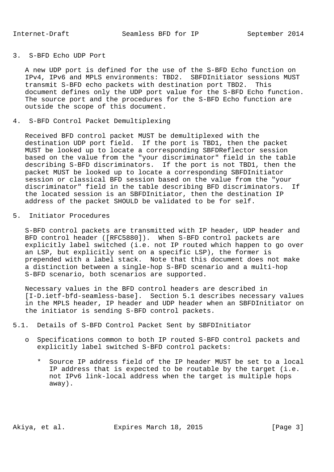## 3. S-BFD Echo UDP Port

 A new UDP port is defined for the use of the S-BFD Echo function on IPv4, IPv6 and MPLS environments: TBD2. SBFDInitiator sessions MUST transmit S-BFD echo packets with destination port TBD2. This document defines only the UDP port value for the S-BFD Echo function. The source port and the procedures for the S-BFD Echo function are outside the scope of this document.

4. S-BFD Control Packet Demultiplexing

 Received BFD control packet MUST be demultiplexed with the destination UDP port field. If the port is TBD1, then the packet MUST be looked up to locate a corresponding SBFDReflector session based on the value from the "your discriminator" field in the table describing S-BFD discriminators. If the port is not TBD1, then the packet MUST be looked up to locate a corresponding SBFDInitiator session or classical BFD session based on the value from the "your discriminator" field in the table describing BFD discriminators. If the located session is an SBFDInitiator, then the destination IP address of the packet SHOULD be validated to be for self.

5. Initiator Procedures

 S-BFD control packets are transmitted with IP header, UDP header and BFD control header ([RFC5880]). When S-BFD control packets are explicitly label switched (i.e. not IP routed which happen to go over an LSP, but explicitly sent on a specific LSP), the former is prepended with a label stack. Note that this document does not make a distinction between a single-hop S-BFD scenario and a multi-hop S-BFD scenario, both scenarios are supported.

 Necessary values in the BFD control headers are described in [I-D.ietf-bfd-seamless-base]. Section 5.1 describes necessary values in the MPLS header, IP header and UDP header when an SBFDInitiator on the initiator is sending S-BFD control packets.

- 5.1. Details of S-BFD Control Packet Sent by SBFDInitiator
	- o Specifications common to both IP routed S-BFD control packets and explicitly label switched S-BFD control packets:
		- \* Source IP address field of the IP header MUST be set to a local IP address that is expected to be routable by the target (i.e. not IPv6 link-local address when the target is multiple hops away).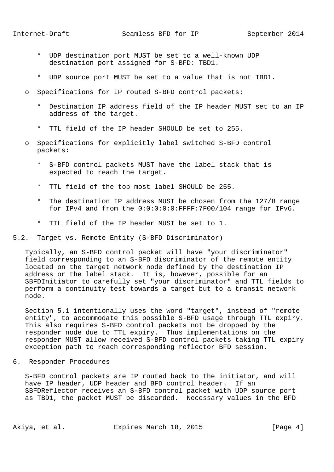- \* UDP destination port MUST be set to a well-known UDP destination port assigned for S-BFD: TBD1.
- \* UDP source port MUST be set to a value that is not TBD1.
- o Specifications for IP routed S-BFD control packets:
	- \* Destination IP address field of the IP header MUST set to an IP address of the target.
	- \* TTL field of the IP header SHOULD be set to 255.
- o Specifications for explicitly label switched S-BFD control packets:
	- S-BFD control packets MUST have the label stack that is expected to reach the target.
	- \* TTL field of the top most label SHOULD be 255.
	- \* The destination IP address MUST be chosen from the 127/8 range for IPv4 and from the 0:0:0:0:0:FFFF:7F00/104 range for IPv6.
	- \* TTL field of the IP header MUST be set to 1.
- 5.2. Target vs. Remote Entity (S-BFD Discriminator)

 Typically, an S-BFD control packet will have "your discriminator" field corresponding to an S-BFD discriminator of the remote entity located on the target network node defined by the destination IP address or the label stack. It is, however, possible for an SBFDInitiator to carefully set "your discriminator" and TTL fields to perform a continuity test towards a target but to a transit network node.

 Section 5.1 intentionally uses the word "target", instead of "remote entity", to accommodate this possible S-BFD usage through TTL expiry. This also requires S-BFD control packets not be dropped by the responder node due to TTL expiry. Thus implementations on the responder MUST allow received S-BFD control packets taking TTL expiry exception path to reach corresponding reflector BFD session.

6. Responder Procedures

 S-BFD control packets are IP routed back to the initiator, and will have IP header, UDP header and BFD control header. If an SBFDReflector receives an S-BFD control packet with UDP source port as TBD1, the packet MUST be discarded. Necessary values in the BFD

Akiya, et al. Expires March 18, 2015 [Page 4]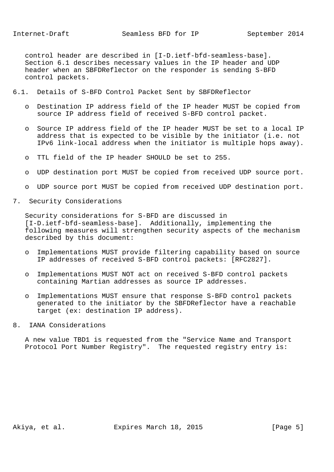control header are described in [I-D.ietf-bfd-seamless-base]. Section 6.1 describes necessary values in the IP header and UDP header when an SBFDReflector on the responder is sending S-BFD control packets.

- 6.1. Details of S-BFD Control Packet Sent by SBFDReflector
	- o Destination IP address field of the IP header MUST be copied from source IP address field of received S-BFD control packet.
	- o Source IP address field of the IP header MUST be set to a local IP address that is expected to be visible by the initiator (i.e. not IPv6 link-local address when the initiator is multiple hops away).
	- o TTL field of the IP header SHOULD be set to 255.
	- o UDP destination port MUST be copied from received UDP source port.
	- o UDP source port MUST be copied from received UDP destination port.
- 7. Security Considerations

 Security considerations for S-BFD are discussed in [I-D.ietf-bfd-seamless-base]. Additionally, implementing the following measures will strengthen security aspects of the mechanism described by this document:

- o Implementations MUST provide filtering capability based on source IP addresses of received S-BFD control packets: [RFC2827].
- o Implementations MUST NOT act on received S-BFD control packets containing Martian addresses as source IP addresses.
- o Implementations MUST ensure that response S-BFD control packets generated to the initiator by the SBFDReflector have a reachable target (ex: destination IP address).
- 8. IANA Considerations

 A new value TBD1 is requested from the "Service Name and Transport Protocol Port Number Registry". The requested registry entry is:

Akiya, et al. Expires March 18, 2015 [Page 5]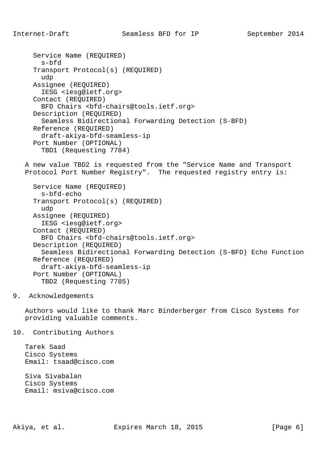```
 Service Name (REQUIRED)
  s-bfd
Transport Protocol(s) (REQUIRED)
 udp
Assignee (REQUIRED)
 IESG <iesg@ietf.org>
Contact (REQUIRED)
  BFD Chairs <bfd-chairs@tools.ietf.org>
Description (REQUIRED)
  Seamless Bidirectional Forwarding Detection (S-BFD)
Reference (REQUIRED)
  draft-akiya-bfd-seamless-ip
Port Number (OPTIONAL)
  TBD1 (Requesting 7784)
```
 A new value TBD2 is requested from the "Service Name and Transport Protocol Port Number Registry". The requested registry entry is:

```
 Service Name (REQUIRED)
 s-bfd-echo
Transport Protocol(s) (REQUIRED)
 udp
Assignee (REQUIRED)
  IESG <iesg@ietf.org>
Contact (REQUIRED)
 BFD Chairs <bfd-chairs@tools.ietf.org>
Description (REQUIRED)
 Seamless Bidirectional Forwarding Detection (S-BFD) Echo Function
Reference (REQUIRED)
  draft-akiya-bfd-seamless-ip
Port Number (OPTIONAL)
  TBD2 (Requesting 7785)
```
9. Acknowledgements

 Authors would like to thank Marc Binderberger from Cisco Systems for providing valuable comments.

10. Contributing Authors

 Tarek Saad Cisco Systems Email: tsaad@cisco.com

 Siva Sivabalan Cisco Systems Email: msiva@cisco.com

Akiya, et al. Expires March 18, 2015 [Page 6]